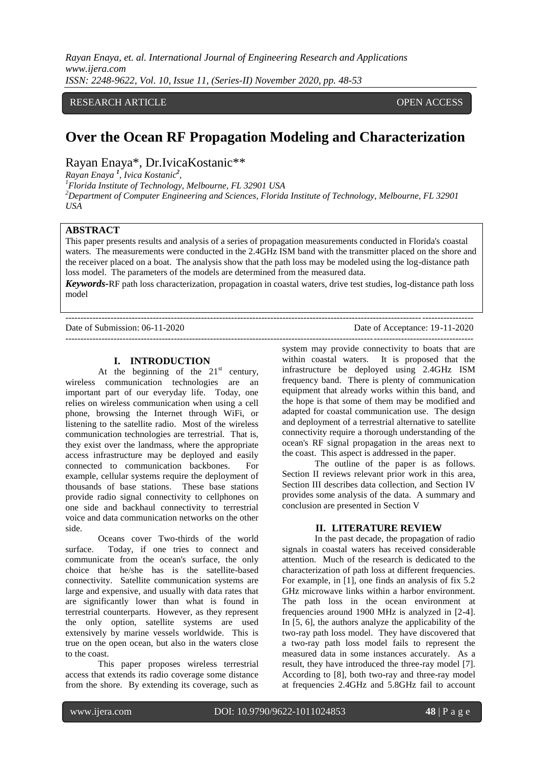*Rayan Enaya, et. al. International Journal of Engineering Research and Applications www.ijera.com ISSN: 2248-9622, Vol. 10, Issue 11, (Series-II) November 2020, pp. 48-53*

## RESEARCH ARTICLE **CONSERVERS** OPEN ACCESS

# **Over the Ocean RF Propagation Modeling and Characterization**

Rayan Enaya\*, Dr.IvicaKostanic\*\*

*Rayan Enaya <sup>1</sup> , Ivica Kostanic<sup>2</sup> ,* 

*<sup>1</sup>Florida Institute of Technology, Melbourne, FL 32901 USA* 

*<sup>2</sup>Department of Computer Engineering and Sciences, Florida Institute of Technology, Melbourne, FL 32901 USA* 

# **ABSTRACT**

This paper presents results and analysis of a series of propagation measurements conducted in Florida's coastal waters. The measurements were conducted in the 2.4GHz ISM band with the transmitter placed on the shore and the receiver placed on a boat. The analysis show that the path loss may be modeled using the log-distance path loss model. The parameters of the models are determined from the measured data.

*Keywords***-**RF path loss characterization, propagation in coastal waters, drive test studies, log-distance path loss model

---------------------------------------------------------------------------------------------------------------------------------------

#### Date of Submission: 06-11-2020 Date of Acceptance: 19-11-2020

#### **I. INTRODUCTION**

At the beginning of the  $21<sup>st</sup>$  century, wireless communication technologies are an important part of our everyday life. Today, one relies on wireless communication when using a cell phone, browsing the Internet through WiFi, or listening to the satellite radio. Most of the wireless communication technologies are terrestrial. That is, they exist over the landmass, where the appropriate access infrastructure may be deployed and easily connected to communication backbones. For example, cellular systems require the deployment of thousands of base stations. These base stations provide radio signal connectivity to cellphones on one side and backhaul connectivity to terrestrial voice and data communication networks on the other side.

Oceans cover Two-thirds of the world surface. Today, if one tries to connect and communicate from the ocean's surface, the only choice that he/she has is the satellite-based connectivity. Satellite communication systems are large and expensive, and usually with data rates that are significantly lower than what is found in terrestrial counterparts. However, as they represent the only option, satellite systems are used extensively by marine vessels worldwide. This is true on the open ocean, but also in the waters close to the coast.

This paper proposes wireless terrestrial access that extends its radio coverage some distance from the shore. By extending its coverage, such as

-------------------------------------------------------------------------------------------------------------------------------------- system may provide connectivity to boats that are within coastal waters. It is proposed that the infrastructure be deployed using 2.4GHz ISM frequency band. There is plenty of communication equipment that already works within this band, and the hope is that some of them may be modified and adapted for coastal communication use. The design and deployment of a terrestrial alternative to satellite connectivity require a thorough understanding of the ocean's RF signal propagation in the areas next to the coast. This aspect is addressed in the paper.

> The outline of the paper is as follows. Section II reviews relevant prior work in this area, Section III describes data collection, and Section IV provides some analysis of the data. A summary and conclusion are presented in Section V

#### **II. LITERATURE REVIEW**

In the past decade, the propagation of radio signals in coastal waters has received considerable attention. Much of the research is dedicated to the characterization of path loss at different frequencies. For example, in [1], one finds an analysis of fix 5.2 GHz microwave links within a harbor environment. The path loss in the ocean environment at frequencies around 1900 MHz is analyzed in [2-4]. In [5, 6], the authors analyze the applicability of the two-ray path loss model. They have discovered that a two-ray path loss model fails to represent the measured data in some instances accurately. As a result, they have introduced the three-ray model [7]. According to [8], both two-ray and three-ray model at frequencies 2.4GHz and 5.8GHz fail to account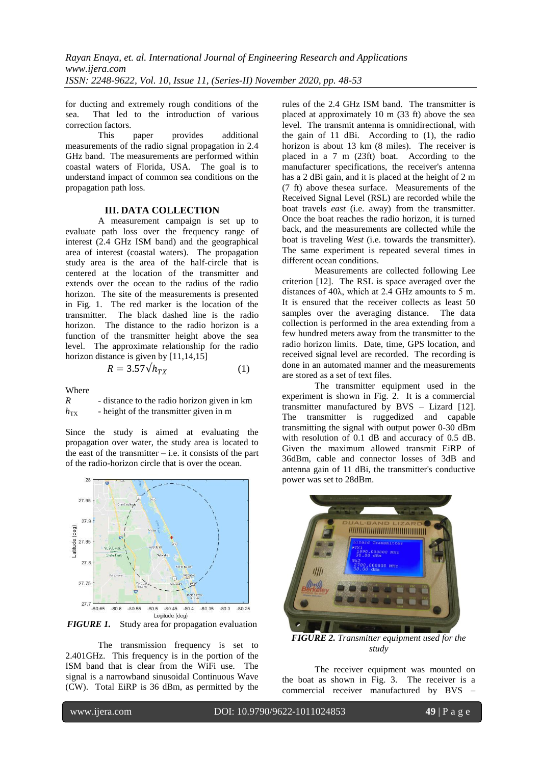for ducting and extremely rough conditions of the sea. That led to the introduction of various correction factors.<br>This

paper provides additional measurements of the radio signal propagation in 2.4 GHz band. The measurements are performed within coastal waters of Florida, USA. The goal is to understand impact of common sea conditions on the propagation path loss.

#### **III. DATA COLLECTION**

A measurement campaign is set up to evaluate path loss over the frequency range of interest (2.4 GHz ISM band) and the geographical area of interest (coastal waters). The propagation study area is the area of the half-circle that is centered at the location of the transmitter and extends over the ocean to the radius of the radio horizon. The site of the measurements is presented in Fig. 1. The red marker is the location of the transmitter. The black dashed line is the radio horizon. The distance to the radio horizon is a function of the transmitter height above the sea level. The approximate relationship for the radio horizon distance is given by [11,14,15]

$$
R = 3.57 \sqrt{h_{TX}} \tag{1}
$$

Where

| $\boldsymbol{R}$ | - distance to the radio horizon given in km |
|------------------|---------------------------------------------|
| $h_{\text{TX}}$  | - height of the transmitter given in m      |

Since the study is aimed at evaluating the propagation over water, the study area is located to the east of the transmitter  $-$  i.e. it consists of the part of the radio-horizon circle that is over the ocean.



*FIGURE 1.* Study area for propagation evaluation

The transmission frequency is set to 2.401GHz. This frequency is in the portion of the ISM band that is clear from the WiFi use. The signal is a narrowband sinusoidal Continuous Wave (CW). Total EiRP is 36 dBm, as permitted by the

rules of the 2.4 GHz ISM band. The transmitter is placed at approximately 10 m (33 ft) above the sea level. The transmit antenna is omnidirectional, with the gain of 11 dBi. According to (1), the radio horizon is about 13 km (8 miles). The receiver is placed in a 7 m (23ft) boat. According to the manufacturer specifications, the receiver's antenna has a 2 dBi gain, and it is placed at the height of 2 m (7 ft) above thesea surface. Measurements of the Received Signal Level (RSL) are recorded while the boat travels *east* (i.e. away) from the transmitter. Once the boat reaches the radio horizon, it is turned back, and the measurements are collected while the boat is traveling *West* (i.e. towards the transmitter). The same experiment is repeated several times in different ocean conditions.

Measurements are collected following Lee criterion [12]. The RSL is space averaged over the distances of 40λ, which at 2.4 GHz amounts to 5 m. It is ensured that the receiver collects as least 50 samples over the averaging distance. The data collection is performed in the area extending from a few hundred meters away from the transmitter to the radio horizon limits. Date, time, GPS location, and received signal level are recorded. The recording is done in an automated manner and the measurements are stored as a set of text files.

The transmitter equipment used in the experiment is shown in Fig. 2. It is a commercial transmitter manufactured by BVS – Lizard [12]. The transmitter is ruggedized and capable transmitting the signal with output power 0-30 dBm with resolution of 0.1 dB and accuracy of 0.5 dB. Given the maximum allowed transmit EiRP of 36dBm, cable and connector losses of 3dB and antenna gain of 11 dBi, the transmitter's conductive power was set to 28dBm.



*FIGURE 2. Transmitter equipment used for the study*

The receiver equipment was mounted on the boat as shown in Fig. 3. The receiver is a commercial receiver manufactured by BVS –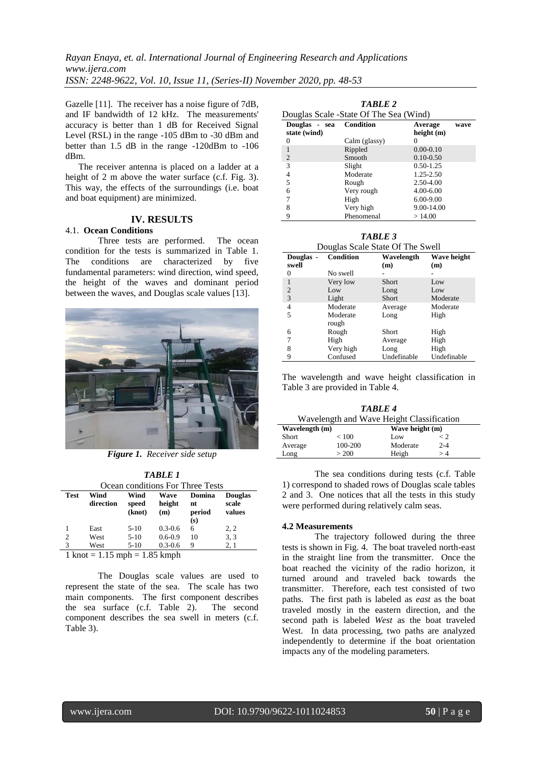*Rayan Enaya, et. al. International Journal of Engineering Research and Applications www.ijera.com ISSN: 2248-9622, Vol. 10, Issue 11, (Series-II) November 2020, pp. 48-53*

Gazelle [11]. The receiver has a noise figure of 7dB, and IF bandwidth of 12 kHz. The measurements' accuracy is better than 1 dB for Received Signal Level (RSL) in the range -105 dBm to -30 dBm and better than 1.5 dB in the range -120dBm to -106 dBm.

The receiver antenna is placed on a ladder at a height of 2 m above the water surface (c.f. Fig. 3). This way, the effects of the surroundings (i.e. boat and boat equipment) are minimized.

# **IV. RESULTS**

# 4.1. **Ocean Conditions**

Three tests are performed. The ocean condition for the tests is summarized in Table 1. The conditions are characterized by five fundamental parameters: wind direction, wind speed, the height of the waves and dominant period between the waves, and Douglas scale values [13].



*Figure 1. Receiver side setup*

*TABLE 1* Ocean conditions For Three Tests

| Occan conditions For Three Tests                        |                   |               |                |               |                         |
|---------------------------------------------------------|-------------------|---------------|----------------|---------------|-------------------------|
| <b>Test</b>                                             | Wind<br>direction | Wind<br>speed | Wave<br>height | Domina<br>nt  | <b>Douglas</b><br>scale |
|                                                         |                   | (knot)        | (m)            | period<br>(s) | values                  |
|                                                         | East              | $5-10$        | $0.3 - 0.6$    | 6             | 2, 2                    |
| $\overline{2}$                                          | West              | $5 - 10$      | $0.6 - 0.9$    | 10            | 3, 3                    |
| 3                                                       | West              | $5 - 10$      | $0.3 - 0.6$    | 9             | 2, 1                    |
| $1 \text{ knot} = 1.15 \text{ mph} = 1.85 \text{ kmph}$ |                   |               |                |               |                         |

The Douglas scale values are used to represent the state of the sea. The scale has two main components. The first component describes the sea surface (c.f. Table 2). The second component describes the sea swell in meters (c.f. Table 3).

| <b>TABLE 2</b><br>Douglas Scale - State Of The Sea (Wind) |                  |                       |      |  |  |
|-----------------------------------------------------------|------------------|-----------------------|------|--|--|
| Douglas - sea<br>state (wind)                             | <b>Condition</b> | Average<br>height (m) | wave |  |  |
| $\Omega$                                                  | Calm (glassy)    | $^{(1)}$              |      |  |  |
| 1                                                         | Rippled          | $0.00 - 0.10$         |      |  |  |
| $\overline{c}$                                            | Smooth           | $0.10 - 0.50$         |      |  |  |
| 3                                                         | Slight           | $0.50 - 1.25$         |      |  |  |
| 4                                                         | Moderate         | 1.25-2.50             |      |  |  |
| 5                                                         | Rough            | 2.50-4.00             |      |  |  |
| 6                                                         | Very rough       | $4.00 - 6.00$         |      |  |  |
| 7                                                         | High             | $6.00 - 9.00$         |      |  |  |
| 8                                                         | Very high        | $9.00 - 14.00$        |      |  |  |
| 9                                                         | Phenomenal       | >14.00                |      |  |  |

*TABLE 3* Douglas Scale State Of The Swell

| Douglas -      | $20.000$ $\mu$ $\sim$ $\mu$ $\mu$ $\sim$ $\mu$ $\sim$ $\mu$<br><b>Condition</b> | Wavelength   | Wave height |
|----------------|---------------------------------------------------------------------------------|--------------|-------------|
| swell          |                                                                                 | (m)          | (m)         |
| 0              | No swell                                                                        |              |             |
| 1              | Very low                                                                        | Short        | Low         |
| $\overline{2}$ | Low                                                                             | Long         | Low         |
| 3              | Light                                                                           | Short        | Moderate    |
| 4              | Moderate                                                                        | Average      | Moderate    |
| 5              | Moderate                                                                        | Long         | High        |
|                | rough                                                                           |              |             |
| 6              | Rough                                                                           | <b>Short</b> | High        |
| 7              | High                                                                            | Average      | High        |
| 8              | Very high                                                                       | Long         | High        |
| 9              | Confused                                                                        | Undefinable  | Undefinable |

The wavelength and wave height classification in Table 3 are provided in Table 4.

| TABLE 4                                   |         |                 |              |  |
|-------------------------------------------|---------|-----------------|--------------|--|
| Wavelength and Wave Height Classification |         |                 |              |  |
| Wavelength (m)                            |         | Wave height (m) |              |  |
| Short                                     | < 100   | Low             | $\langle$ 2. |  |
| Average                                   | 100-200 | Moderate        | $2 - 4$      |  |
| Long                                      | > 200   | Heigh           | $>4\,$       |  |

The sea conditions during tests (c.f. Table 1) correspond to shaded rows of Douglas scale tables 2 and 3. One notices that all the tests in this study were performed during relatively calm seas.

#### **4.2 Measurements**

The trajectory followed during the three tests is shown in Fig. 4. The boat traveled north-east in the straight line from the transmitter. Once the boat reached the vicinity of the radio horizon, it turned around and traveled back towards the transmitter. Therefore, each test consisted of two paths. The first path is labeled as *east* as the boat traveled mostly in the eastern direction, and the second path is labeled *West* as the boat traveled West. In data processing, two paths are analyzed independently to determine if the boat orientation impacts any of the modeling parameters.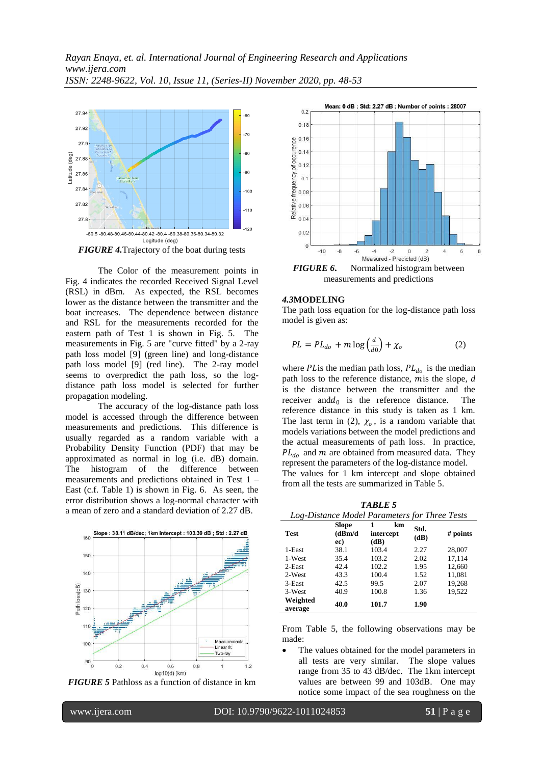

The Color of the measurement points in Fig. 4 indicates the recorded Received Signal Level (RSL) in dBm. As expected, the RSL becomes lower as the distance between the transmitter and the boat increases. The dependence between distance and RSL for the measurements recorded for the eastern path of Test 1 is shown in Fig. 5. The measurements in Fig. 5 are "curve fitted" by a 2-ray path loss model [9] (green line) and long-distance path loss model [9] (red line). The 2-ray model seems to overpredict the path loss, so the logdistance path loss model is selected for further propagation modeling.

The accuracy of the log-distance path loss model is accessed through the difference between measurements and predictions. This difference is usually regarded as a random variable with a Probability Density Function (PDF) that may be approximated as normal in log (i.e. dB) domain. The histogram of the difference between measurements and predictions obtained in Test 1 – East (c.f. Table 1) is shown in Fig. 6. As seen, the error distribution shows a log-normal character with a mean of zero and a standard deviation of 2.27 dB.







measurements and predictions

#### *4.3***MODELING**

The path loss equation for the log-distance path loss model is given as:

$$
PL = PL_{do} + m \log \left(\frac{d}{d0}\right) + \chi_{\sigma}
$$
 (2)

where *PL* is the median path loss,  $PL_{do}$  is the median path loss to the reference distance, mis the slope, *d* is the distance between the transmitter and the receiver and  $d_0$  is the reference distance. The reference distance in this study is taken as 1 km. The last term in (2),  $\chi_{\sigma}$ , is a random variable that models variations between the model predictions and the actual measurements of path loss. In practice,  $PL_{do}$  and m are obtained from measured data. They represent the parameters of the log-distance model. The values for 1 km intercept and slope obtained from all the tests are summarized in Table 5.

*TABLE 5*

| Log-Distance Model Parameters for Three Tests |                                |                         |              |            |
|-----------------------------------------------|--------------------------------|-------------------------|--------------|------------|
| <b>Test</b>                                   | <b>Slope</b><br>(dBm/d)<br>ec) | km<br>intercept<br>(dB) | Std.<br>(dB) | $#$ points |
| 1-East                                        | 38.1                           | 103.4                   | 2.27         | 28,007     |
| 1-West                                        | 35.4                           | 103.2                   | 2.02         | 17,114     |
| 2-East                                        | 42.4                           | 102.2                   | 1.95         | 12,660     |
| 2-West                                        | 43.3                           | 100.4                   | 1.52         | 11,081     |
| 3-East                                        | 42.5                           | 99.5                    | 2.07         | 19,268     |
| 3-West                                        | 40.9                           | 100.8                   | 1.36         | 19.522     |
| Weighted<br>average                           | 40.0                           | 101.7                   | 1.90         |            |

From Table 5, the following observations may be made:

 The values obtained for the model parameters in all tests are very similar. The slope values range from 35 to 43 dB/dec. The 1km intercept values are between 99 and 103dB. One may notice some impact of the sea roughness on the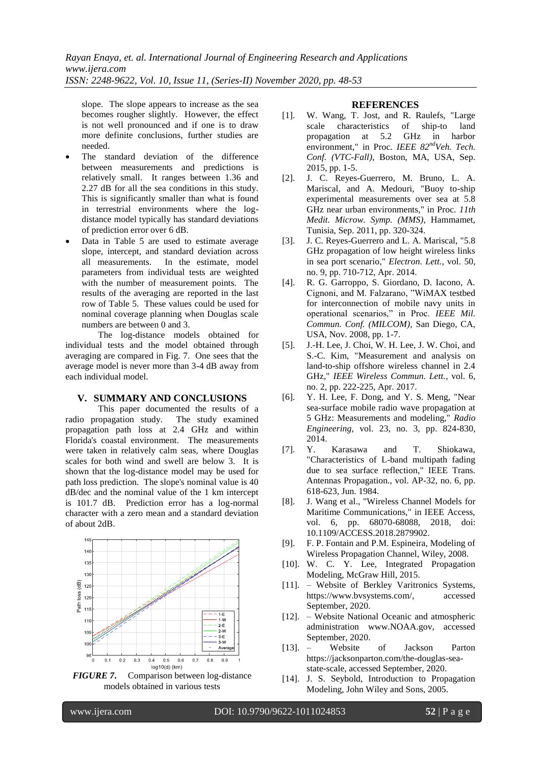slope. The slope appears to increase as the sea becomes rougher slightly. However, the effect is not well pronounced and if one is to draw more definite conclusions, further studies are needed.

- The standard deviation of the difference between measurements and predictions is relatively small. It ranges between 1.36 and 2.27 dB for all the sea conditions in this study. This is significantly smaller than what is found in terrestrial environments where the logdistance model typically has standard deviations of prediction error over 6 dB.
- Data in Table 5 are used to estimate average slope, intercept, and standard deviation across all measurements. In the estimate, model parameters from individual tests are weighted with the number of measurement points. The results of the averaging are reported in the last row of Table 5. These values could be used for nominal coverage planning when Douglas scale numbers are between 0 and 3.

The log-distance models obtained for individual tests and the model obtained through averaging are compared in Fig. 7. One sees that the average model is never more than 3-4 dB away from each individual model.

### **V. SUMMARY AND CONCLUSIONS**

This paper documented the results of a radio propagation study. The study examined propagation path loss at 2.4 GHz and within Florida's coastal environment. The measurements were taken in relatively calm seas, where Douglas scales for both wind and swell are below 3. It is shown that the log-distance model may be used for path loss prediction. The slope's nominal value is 40 dB/dec and the nominal value of the 1 km intercept is 101.7 dB. Prediction error has a log-normal character with a zero mean and a standard deviation of about 2dB.



*FIGURE 7***.** Comparison between log-distance models obtained in various tests

#### **REFERENCES**

- [1]. W. Wang, T. Jost, and R. Raulefs, "Large scale characteristics of ship-to land propagation at 5.2 GHz in harbor environment," in Proc. *IEEE 82ndVeh. Tech. Conf. (VTC-Fall)*, Boston, MA, USA, Sep. 2015, pp. 1-5.
- [2]. J. C. Reyes-Guerrero, M. Bruno, L. A. Mariscal, and A. Medouri, "Buoy to-ship experimental measurements over sea at 5.8 GHz near urban environments," in Proc. *11th Medit. Microw. Symp. (MMS)*, Hammamet, Tunisia, Sep. 2011, pp. 320-324.
- [3]. J. C. Reyes-Guerrero and L. A. Mariscal, "5.8 GHz propagation of low height wireless links in sea port scenario," *Electron. Lett.*, vol. 50, no. 9, pp. 710-712, Apr. 2014.
- [4]. R. G. Garroppo, S. Giordano, D. Iacono, A. Cignoni, and M. Falzarano, "WiMAX testbed for interconnection of mobile navy units in operational scenarios," in Proc. *IEEE Mil. Commun. Conf. (MILCOM)*, San Diego, CA, USA, Nov. 2008, pp. 1-7.
- [5]. J.-H. Lee, J. Choi, W. H. Lee, J. W. Choi, and S.-C. Kim, "Measurement and analysis on land-to-ship offshore wireless channel in 2.4 GHz," *IEEE Wireless Commun. Lett.*, vol. 6, no. 2, pp. 222-225, Apr. 2017.
- [6]. Y. H. Lee, F. Dong, and Y. S. Meng, "Near sea-surface mobile radio wave propagation at 5 GHz: Measurements and modeling," *Radio Engineering*, vol. 23, no. 3, pp. 824-830, 2014.
- [7]. Y. Karasawa and T. Shiokawa, "Characteristics of L-band multipath fading due to sea surface reflection," IEEE Trans. Antennas Propagation., vol. AP-32, no. 6, pp. 618-623, Jun. 1984.
- [8]. J. Wang et al., "Wireless Channel Models for Maritime Communications," in IEEE Access, vol. 6, pp. 68070-68088, 2018, doi: 10.1109/ACCESS.2018.2879902.
- [9]. F. P. Fontain and P.M. Espineira, Modeling of Wireless Propagation Channel, Wiley, 2008.
- [10]. W. C. Y. Lee, Integrated Propagation Modeling, McGraw Hill, 2015.
- [11]. Website of Berkley Varitronics Systems, https://www.bvsystems.com/, accessed September, 2020.
- [12]. Website National Oceanic and atmospheric administration www.NOAA.gov, accessed September, 2020.
- [13]. Website of Jackson Parton https://jacksonparton.com/the-douglas-seastate-scale, accessed September, 2020.
- [14]. J. S. Seybold, Introduction to Propagation Modeling, John Wiley and Sons, 2005.